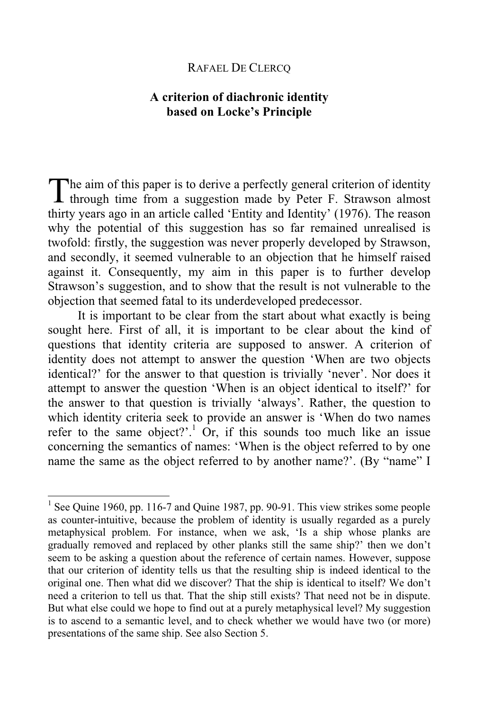#### RAFAEL DE CLERCQ

#### **A criterion of diachronic identity based on Locke's Principle**

The aim of this paper is to derive a perfectly general criterion of identity through time from a suggestion made by Peter F. Strawson almost **L** through time from a suggestion made by Peter F. Strawson almost thirty years ago in an article called 'Entity and Identity' (1976). The reason why the potential of this suggestion has so far remained unrealised is twofold: firstly, the suggestion was never properly developed by Strawson, and secondly, it seemed vulnerable to an objection that he himself raised against it. Consequently, my aim in this paper is to further develop Strawson's suggestion, and to show that the result is not vulnerable to the objection that seemed fatal to its underdeveloped predecessor.

 It is important to be clear from the start about what exactly is being sought here. First of all, it is important to be clear about the kind of questions that identity criteria are supposed to answer. A criterion of identity does not attempt to answer the question 'When are two objects identical?' for the answer to that question is trivially 'never'. Nor does it attempt to answer the question 'When is an object identical to itself?' for the answer to that question is trivially 'always'. Rather, the question to which identity criteria seek to provide an answer is 'When do two names refer to the same object?'.<sup>1</sup> Or, if this sounds too much like an issue concerning the semantics of names: 'When is the object referred to by one name the same as the object referred to by another name?'. (By "name" I

<sup>&</sup>lt;sup>1</sup> See Quine 1960, pp. 116-7 and Quine 1987, pp. 90-91. This view strikes some people as counter-intuitive, because the problem of identity is usually regarded as a purely metaphysical problem. For instance, when we ask, 'Is a ship whose planks are gradually removed and replaced by other planks still the same ship?' then we don't seem to be asking a question about the reference of certain names. However, suppose that our criterion of identity tells us that the resulting ship is indeed identical to the original one. Then what did we discover? That the ship is identical to itself? We don't need a criterion to tell us that. That the ship still exists? That need not be in dispute. But what else could we hope to find out at a purely metaphysical level? My suggestion is to ascend to a semantic level, and to check whether we would have two (or more) presentations of the same ship. See also Section 5.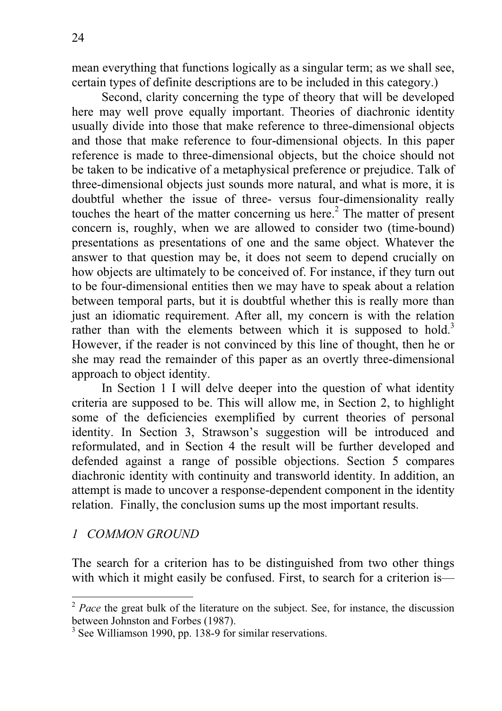mean everything that functions logically as a singular term; as we shall see, certain types of definite descriptions are to be included in this category.)

 Second, clarity concerning the type of theory that will be developed here may well prove equally important. Theories of diachronic identity usually divide into those that make reference to three-dimensional objects and those that make reference to four-dimensional objects. In this paper reference is made to three-dimensional objects, but the choice should not be taken to be indicative of a metaphysical preference or prejudice. Talk of three-dimensional objects just sounds more natural, and what is more, it is doubtful whether the issue of three- versus four-dimensionality really touches the heart of the matter concerning us here.<sup>2</sup> The matter of present concern is, roughly, when we are allowed to consider two (time-bound) presentations as presentations of one and the same object. Whatever the answer to that question may be, it does not seem to depend crucially on how objects are ultimately to be conceived of. For instance, if they turn out to be four-dimensional entities then we may have to speak about a relation between temporal parts, but it is doubtful whether this is really more than just an idiomatic requirement. After all, my concern is with the relation rather than with the elements between which it is supposed to hold.<sup>3</sup> However, if the reader is not convinced by this line of thought, then he or she may read the remainder of this paper as an overtly three-dimensional approach to object identity.

In Section 1 I will delve deeper into the question of what identity criteria are supposed to be. This will allow me, in Section 2, to highlight some of the deficiencies exemplified by current theories of personal identity. In Section 3, Strawson's suggestion will be introduced and reformulated, and in Section 4 the result will be further developed and defended against a range of possible objections. Section 5 compares diachronic identity with continuity and transworld identity. In addition, an attempt is made to uncover a response-dependent component in the identity relation. Finally, the conclusion sums up the most important results.

# *1 COMMON GROUND*

The search for a criterion has to be distinguished from two other things with which it might easily be confused. First, to search for a criterion is—

<sup>&</sup>lt;sup>2</sup> *Pace* the great bulk of the literature on the subject. See, for instance, the discussion between Johnston and Forbes (1987).

<sup>&</sup>lt;sup>3</sup> See Williamson 1990, pp. 138-9 for similar reservations.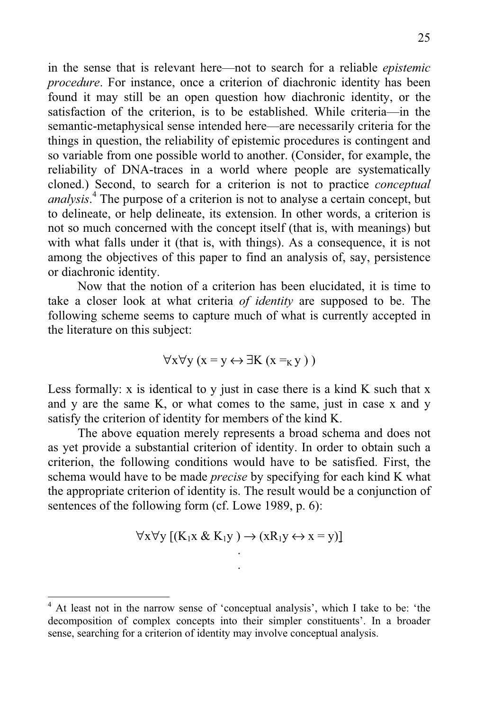in the sense that is relevant here—not to search for a reliable *epistemic procedure*. For instance, once a criterion of diachronic identity has been found it may still be an open question how diachronic identity, or the satisfaction of the criterion, is to be established. While criteria—in the semantic-metaphysical sense intended here—are necessarily criteria for the things in question, the reliability of epistemic procedures is contingent and so variable from one possible world to another. (Consider, for example, the reliability of DNA-traces in a world where people are systematically cloned.) Second, to search for a criterion is not to practice *conceptual analysis*. 4 The purpose of a criterion is not to analyse a certain concept, but to delineate, or help delineate, its extension. In other words, a criterion is not so much concerned with the concept itself (that is, with meanings) but with what falls under it (that is, with things). As a consequence, it is not among the objectives of this paper to find an analysis of, say, persistence or diachronic identity.

Now that the notion of a criterion has been elucidated, it is time to take a closer look at what criteria *of identity* are supposed to be. The following scheme seems to capture much of what is currently accepted in the literature on this subject:

$$
\forall x \forall y (x = y \leftrightarrow \exists K (x =_K y))
$$

Less formally: x is identical to y just in case there is a kind K such that x and y are the same K, or what comes to the same, just in case x and y satisfy the criterion of identity for members of the kind K.

 The above equation merely represents a broad schema and does not as yet provide a substantial criterion of identity. In order to obtain such a criterion, the following conditions would have to be satisfied. First, the schema would have to be made *precise* by specifying for each kind K what the appropriate criterion of identity is. The result would be a conjunction of sentences of the following form (cf. Lowe 1989, p. 6):

$$
\forall x \forall y [(K_1 x \& K_1 y) \rightarrow (xR_1 y \leftrightarrow x = y)]
$$

.

<sup>&</sup>lt;sup>4</sup> At least not in the narrow sense of 'conceptual analysis', which I take to be: 'the decomposition of complex concepts into their simpler constituents'. In a broader sense, searching for a criterion of identity may involve conceptual analysis.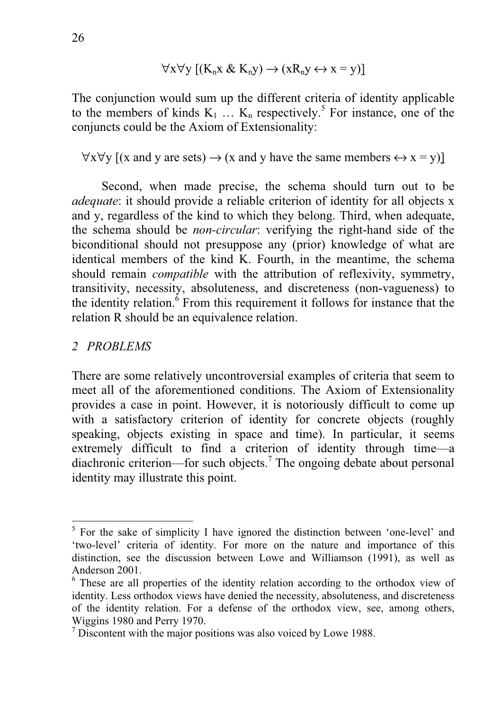$$
\forall x \forall y \ [(K_n x \& K_n y) \rightarrow (x R_n y \leftrightarrow x = y)]
$$

The conjunction would sum up the different criteria of identity applicable to the members of kinds  $K_1$  ...  $K_n$  respectively.<sup>5</sup> For instance, one of the conjuncts could be the Axiom of Extensionality:

 $\forall x \forall y$  [(x and y are sets)  $\rightarrow$  (x and y have the same members  $\leftrightarrow$  x = y)]

Second, when made precise, the schema should turn out to be *adequate*: it should provide a reliable criterion of identity for all objects x and y, regardless of the kind to which they belong. Third, when adequate, the schema should be *non-circular*: verifying the right-hand side of the biconditional should not presuppose any (prior) knowledge of what are identical members of the kind K. Fourth, in the meantime, the schema should remain *compatible* with the attribution of reflexivity, symmetry, transitivity, necessity, absoluteness, and discreteness (non-vagueness) to the identity relation. $\delta$  From this requirement it follows for instance that the relation R should be an equivalence relation.

#### *2 PROBLEMS*

There are some relatively uncontroversial examples of criteria that seem to meet all of the aforementioned conditions. The Axiom of Extensionality provides a case in point. However, it is notoriously difficult to come up with a satisfactory criterion of identity for concrete objects (roughly speaking, objects existing in space and time). In particular, it seems extremely difficult to find a criterion of identity through time—a diachronic criterion—for such objects.<sup>7</sup> The ongoing debate about personal identity may illustrate this point.

<sup>&</sup>lt;sup>5</sup> For the sake of simplicity I have ignored the distinction between 'one-level' and 'two-level' criteria of identity. For more on the nature and importance of this distinction, see the discussion between Lowe and Williamson (1991), as well as Anderson 2001.

<sup>&</sup>lt;sup>6</sup> These are all properties of the identity relation according to the orthodox view of identity. Less orthodox views have denied the necessity, absoluteness, and discreteness of the identity relation. For a defense of the orthodox view, see, among others, Wiggins 1980 and Perry 1970.

<sup>&</sup>lt;sup>7</sup> Discontent with the major positions was also voiced by Lowe 1988.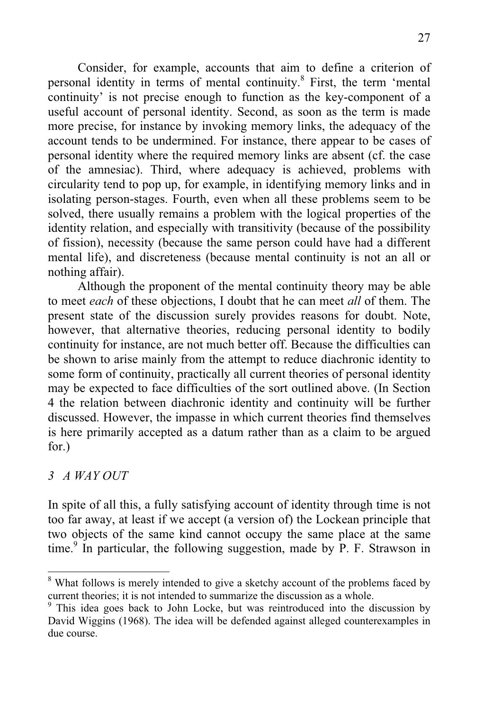Consider, for example, accounts that aim to define a criterion of personal identity in terms of mental continuity.<sup>8</sup> First, the term 'mental continuity' is not precise enough to function as the key-component of a useful account of personal identity. Second, as soon as the term is made more precise, for instance by invoking memory links, the adequacy of the account tends to be undermined. For instance, there appear to be cases of personal identity where the required memory links are absent (cf. the case of the amnesiac). Third, where adequacy is achieved, problems with circularity tend to pop up, for example, in identifying memory links and in isolating person-stages. Fourth, even when all these problems seem to be solved, there usually remains a problem with the logical properties of the identity relation, and especially with transitivity (because of the possibility of fission), necessity (because the same person could have had a different mental life), and discreteness (because mental continuity is not an all or nothing affair).

Although the proponent of the mental continuity theory may be able to meet *each* of these objections, I doubt that he can meet *all* of them. The present state of the discussion surely provides reasons for doubt. Note, however, that alternative theories, reducing personal identity to bodily continuity for instance, are not much better off. Because the difficulties can be shown to arise mainly from the attempt to reduce diachronic identity to some form of continuity, practically all current theories of personal identity may be expected to face difficulties of the sort outlined above. (In Section 4 the relation between diachronic identity and continuity will be further discussed. However, the impasse in which current theories find themselves is here primarily accepted as a datum rather than as a claim to be argued for.)

## *3 A WAY OUT*

In spite of all this, a fully satisfying account of identity through time is not too far away, at least if we accept (a version of) the Lockean principle that two objects of the same kind cannot occupy the same place at the same time.<sup>9</sup> In particular, the following suggestion, made by P. F. Strawson in

<sup>&</sup>lt;sup>8</sup> What follows is merely intended to give a sketchy account of the problems faced by current theories; it is not intended to summarize the discussion as a whole.

<sup>&</sup>lt;sup>9</sup> This idea goes back to John Locke, but was reintroduced into the discussion by David Wiggins (1968). The idea will be defended against alleged counterexamples in due course.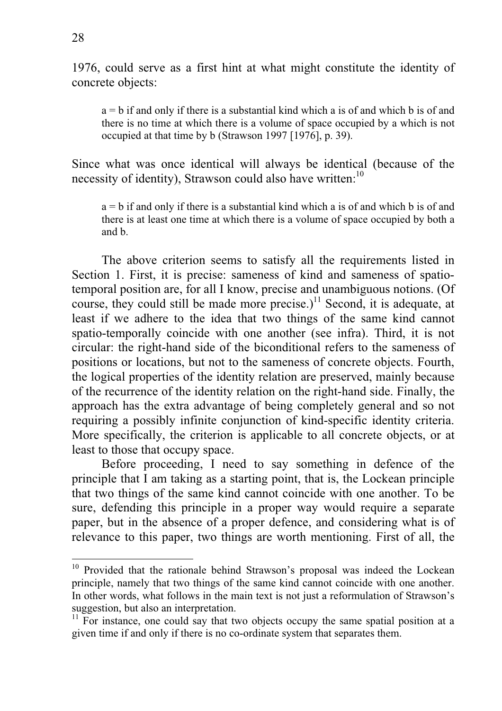1976, could serve as a first hint at what might constitute the identity of concrete objects:

 $a = b$  if and only if there is a substantial kind which a is of and which b is of and there is no time at which there is a volume of space occupied by a which is not occupied at that time by b (Strawson 1997 [1976], p. 39).

Since what was once identical will always be identical (because of the necessity of identity), Strawson could also have written: $10$ 

 $a = b$  if and only if there is a substantial kind which a is of and which b is of and there is at least one time at which there is a volume of space occupied by both a and b.

 The above criterion seems to satisfy all the requirements listed in Section 1. First, it is precise: sameness of kind and sameness of spatiotemporal position are, for all I know, precise and unambiguous notions. (Of course, they could still be made more precise.)<sup>11</sup> Second, it is adequate, at least if we adhere to the idea that two things of the same kind cannot spatio-temporally coincide with one another (see infra). Third, it is not circular: the right-hand side of the biconditional refers to the sameness of positions or locations, but not to the sameness of concrete objects. Fourth, the logical properties of the identity relation are preserved, mainly because of the recurrence of the identity relation on the right-hand side. Finally, the approach has the extra advantage of being completely general and so not requiring a possibly infinite conjunction of kind-specific identity criteria. More specifically, the criterion is applicable to all concrete objects, or at least to those that occupy space.

 Before proceeding, I need to say something in defence of the principle that I am taking as a starting point, that is, the Lockean principle that two things of the same kind cannot coincide with one another. To be sure, defending this principle in a proper way would require a separate paper, but in the absence of a proper defence, and considering what is of relevance to this paper, two things are worth mentioning. First of all, the

<sup>&</sup>lt;sup>10</sup> Provided that the rationale behind Strawson's proposal was indeed the Lockean principle, namely that two things of the same kind cannot coincide with one another. In other words, what follows in the main text is not just a reformulation of Strawson's suggestion, but also an interpretation.

 $11$  For instance, one could say that two objects occupy the same spatial position at a given time if and only if there is no co-ordinate system that separates them.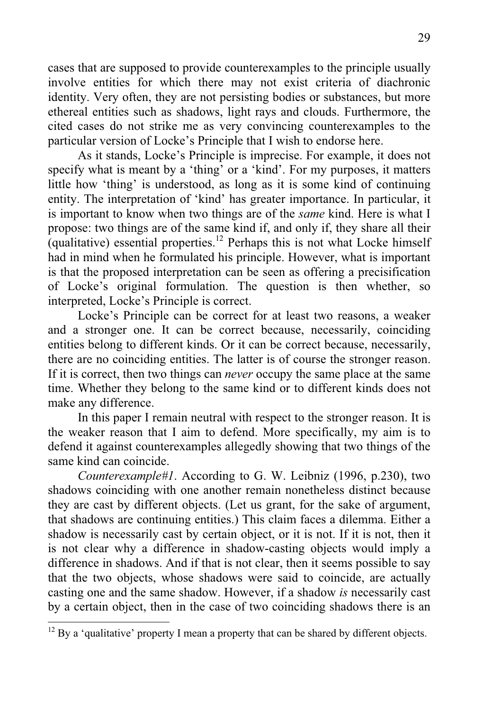cases that are supposed to provide counterexamples to the principle usually involve entities for which there may not exist criteria of diachronic identity. Very often, they are not persisting bodies or substances, but more ethereal entities such as shadows, light rays and clouds. Furthermore, the cited cases do not strike me as very convincing counterexamples to the particular version of Locke's Principle that I wish to endorse here.

As it stands, Locke's Principle is imprecise. For example, it does not specify what is meant by a 'thing' or a 'kind'. For my purposes, it matters little how 'thing' is understood, as long as it is some kind of continuing entity. The interpretation of 'kind' has greater importance. In particular, it is important to know when two things are of the *same* kind. Here is what I propose: two things are of the same kind if, and only if, they share all their (qualitative) essential properties.<sup>12</sup> Perhaps this is not what Locke himself had in mind when he formulated his principle. However, what is important is that the proposed interpretation can be seen as offering a precisification of Locke's original formulation. The question is then whether, so interpreted, Locke's Principle is correct.

Locke's Principle can be correct for at least two reasons, a weaker and a stronger one. It can be correct because, necessarily, coinciding entities belong to different kinds. Or it can be correct because, necessarily, there are no coinciding entities. The latter is of course the stronger reason. If it is correct, then two things can *never* occupy the same place at the same time. Whether they belong to the same kind or to different kinds does not make any difference.

 In this paper I remain neutral with respect to the stronger reason. It is the weaker reason that I aim to defend. More specifically, my aim is to defend it against counterexamples allegedly showing that two things of the same kind can coincide.

*Counterexample#1*. According to G. W. Leibniz (1996, p.230), two shadows coinciding with one another remain nonetheless distinct because they are cast by different objects. (Let us grant, for the sake of argument, that shadows are continuing entities.) This claim faces a dilemma. Either a shadow is necessarily cast by certain object, or it is not. If it is not, then it is not clear why a difference in shadow-casting objects would imply a difference in shadows. And if that is not clear, then it seems possible to say that the two objects, whose shadows were said to coincide, are actually casting one and the same shadow. However, if a shadow *is* necessarily cast by a certain object, then in the case of two coinciding shadows there is an

 $12$  By a 'qualitative' property I mean a property that can be shared by different objects.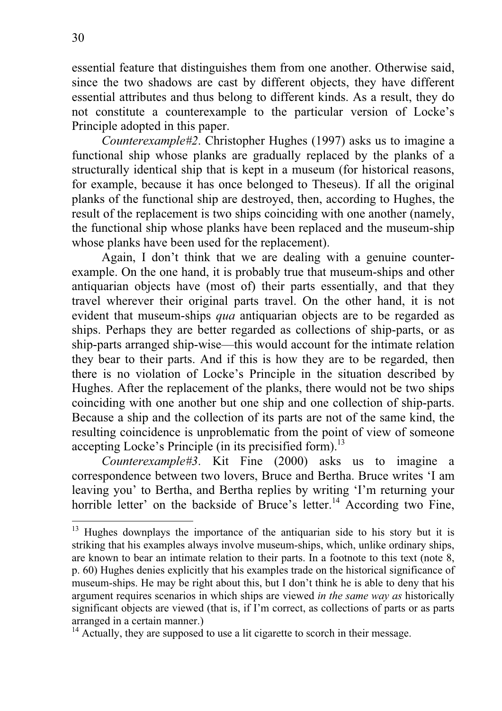essential feature that distinguishes them from one another. Otherwise said, since the two shadows are cast by different objects, they have different essential attributes and thus belong to different kinds. As a result, they do not constitute a counterexample to the particular version of Locke's Principle adopted in this paper.

*Counterexample#2*. Christopher Hughes (1997) asks us to imagine a functional ship whose planks are gradually replaced by the planks of a structurally identical ship that is kept in a museum (for historical reasons, for example, because it has once belonged to Theseus). If all the original planks of the functional ship are destroyed, then, according to Hughes, the result of the replacement is two ships coinciding with one another (namely, the functional ship whose planks have been replaced and the museum-ship whose planks have been used for the replacement).

Again, I don't think that we are dealing with a genuine counterexample. On the one hand, it is probably true that museum-ships and other antiquarian objects have (most of) their parts essentially, and that they travel wherever their original parts travel. On the other hand, it is not evident that museum-ships *qua* antiquarian objects are to be regarded as ships. Perhaps they are better regarded as collections of ship-parts, or as ship-parts arranged ship-wise—this would account for the intimate relation they bear to their parts. And if this is how they are to be regarded, then there is no violation of Locke's Principle in the situation described by Hughes. After the replacement of the planks, there would not be two ships coinciding with one another but one ship and one collection of ship-parts. Because a ship and the collection of its parts are not of the same kind, the resulting coincidence is unproblematic from the point of view of someone accepting Locke's Principle (in its precisified form).<sup>13</sup>

*Counterexample#3*. Kit Fine (2000) asks us to imagine a correspondence between two lovers, Bruce and Bertha. Bruce writes 'I am leaving you' to Bertha, and Bertha replies by writing 'I'm returning your horrible letter' on the backside of Bruce's letter.<sup>14</sup> According two Fine,

<sup>&</sup>lt;sup>13</sup> Hughes downplays the importance of the antiquarian side to his story but it is striking that his examples always involve museum-ships, which, unlike ordinary ships, are known to bear an intimate relation to their parts. In a footnote to this text (note 8, p. 60) Hughes denies explicitly that his examples trade on the historical significance of museum-ships. He may be right about this, but I don't think he is able to deny that his argument requires scenarios in which ships are viewed *in the same way as* historically significant objects are viewed (that is, if I'm correct, as collections of parts or as parts arranged in a certain manner.)

 $14$  Actually, they are supposed to use a lit cigarette to scorch in their message.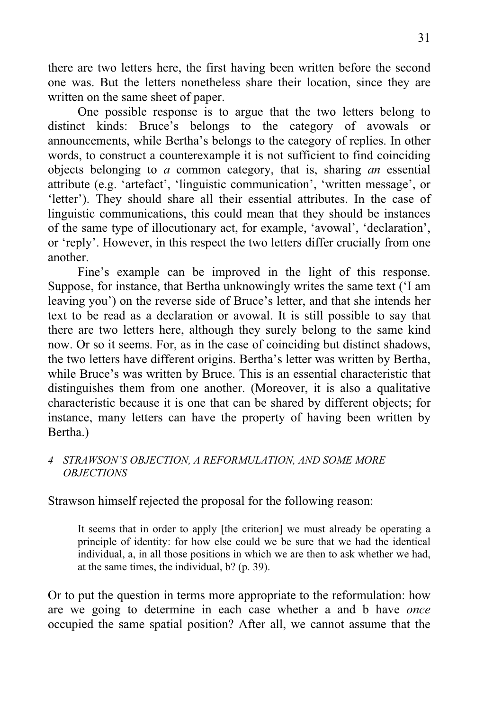there are two letters here, the first having been written before the second one was. But the letters nonetheless share their location, since they are written on the same sheet of paper.

One possible response is to argue that the two letters belong to distinct kinds: Bruce's belongs to the category of avowals or announcements, while Bertha's belongs to the category of replies. In other words, to construct a counterexample it is not sufficient to find coinciding objects belonging to *a* common category, that is, sharing *an* essential attribute (e.g. 'artefact', 'linguistic communication', 'written message', or 'letter'). They should share all their essential attributes. In the case of linguistic communications, this could mean that they should be instances of the same type of illocutionary act, for example, 'avowal', 'declaration', or 'reply'. However, in this respect the two letters differ crucially from one another.

Fine's example can be improved in the light of this response. Suppose, for instance, that Bertha unknowingly writes the same text ('I am leaving you') on the reverse side of Bruce's letter, and that she intends her text to be read as a declaration or avowal. It is still possible to say that there are two letters here, although they surely belong to the same kind now. Or so it seems. For, as in the case of coinciding but distinct shadows, the two letters have different origins. Bertha's letter was written by Bertha, while Bruce's was written by Bruce. This is an essential characteristic that distinguishes them from one another. (Moreover, it is also a qualitative characteristic because it is one that can be shared by different objects; for instance, many letters can have the property of having been written by Bertha.)

#### *4 STRAWSON'S OBJECTION, A REFORMULATION, AND SOME MORE OBJECTIONS*

Strawson himself rejected the proposal for the following reason:

It seems that in order to apply [the criterion] we must already be operating a principle of identity: for how else could we be sure that we had the identical individual, a, in all those positions in which we are then to ask whether we had, at the same times, the individual, b? (p. 39).

Or to put the question in terms more appropriate to the reformulation: how are we going to determine in each case whether a and b have *once* occupied the same spatial position? After all, we cannot assume that the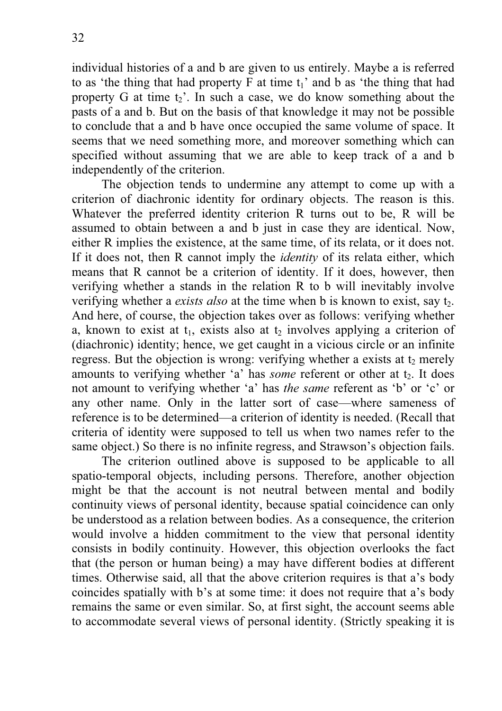individual histories of a and b are given to us entirely. Maybe a is referred to as 'the thing that had property  $F$  at time  $t_1$ ' and b as 'the thing that had property G at time  $t<sub>2</sub>$ . In such a case, we do know something about the pasts of a and b. But on the basis of that knowledge it may not be possible to conclude that a and b have once occupied the same volume of space. It seems that we need something more, and moreover something which can specified without assuming that we are able to keep track of a and b independently of the criterion.

The objection tends to undermine any attempt to come up with a criterion of diachronic identity for ordinary objects. The reason is this. Whatever the preferred identity criterion R turns out to be, R will be assumed to obtain between a and b just in case they are identical. Now, either R implies the existence, at the same time, of its relata, or it does not. If it does not, then R cannot imply the *identity* of its relata either, which means that R cannot be a criterion of identity. If it does, however, then verifying whether a stands in the relation R to b will inevitably involve verifying whether a *exists also* at the time when b is known to exist, say t<sub>2</sub>. And here, of course, the objection takes over as follows: verifying whether a, known to exist at t<sub>1</sub>, exists also at t<sub>2</sub> involves applying a criterion of (diachronic) identity; hence, we get caught in a vicious circle or an infinite regress. But the objection is wrong: verifying whether a exists at  $t_2$  merely amounts to verifying whether 'a' has *some* referent or other at t<sub>2</sub>. It does not amount to verifying whether 'a' has *the same* referent as 'b' or 'c' or any other name. Only in the latter sort of case—where sameness of reference is to be determined—a criterion of identity is needed. (Recall that criteria of identity were supposed to tell us when two names refer to the same object.) So there is no infinite regress, and Strawson's objection fails.

 The criterion outlined above is supposed to be applicable to all spatio-temporal objects, including persons. Therefore, another objection might be that the account is not neutral between mental and bodily continuity views of personal identity, because spatial coincidence can only be understood as a relation between bodies. As a consequence, the criterion would involve a hidden commitment to the view that personal identity consists in bodily continuity. However, this objection overlooks the fact that (the person or human being) a may have different bodies at different times. Otherwise said, all that the above criterion requires is that a's body coincides spatially with b's at some time: it does not require that a's body remains the same or even similar. So, at first sight, the account seems able to accommodate several views of personal identity. (Strictly speaking it is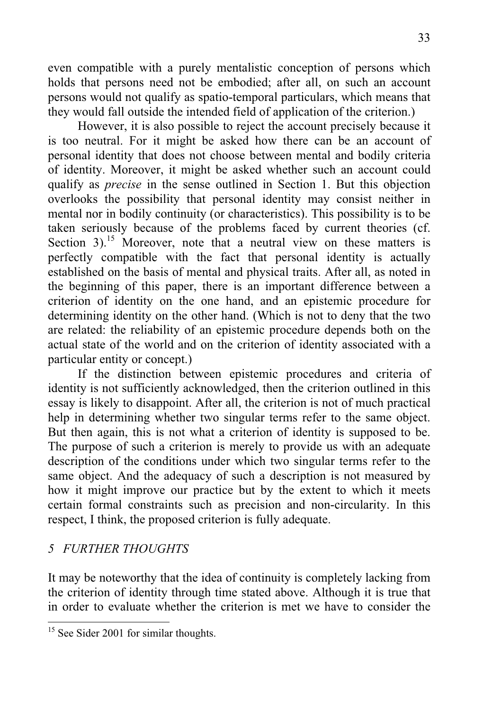even compatible with a purely mentalistic conception of persons which holds that persons need not be embodied; after all, on such an account persons would not qualify as spatio-temporal particulars, which means that they would fall outside the intended field of application of the criterion.)

However, it is also possible to reject the account precisely because it is too neutral. For it might be asked how there can be an account of personal identity that does not choose between mental and bodily criteria of identity. Moreover, it might be asked whether such an account could qualify as *precise* in the sense outlined in Section 1. But this objection overlooks the possibility that personal identity may consist neither in mental nor in bodily continuity (or characteristics). This possibility is to be taken seriously because of the problems faced by current theories (cf. Section 3).<sup>15</sup> Moreover, note that a neutral view on these matters is perfectly compatible with the fact that personal identity is actually established on the basis of mental and physical traits. After all, as noted in the beginning of this paper, there is an important difference between a criterion of identity on the one hand, and an epistemic procedure for determining identity on the other hand. (Which is not to deny that the two are related: the reliability of an epistemic procedure depends both on the actual state of the world and on the criterion of identity associated with a particular entity or concept.)

If the distinction between epistemic procedures and criteria of identity is not sufficiently acknowledged, then the criterion outlined in this essay is likely to disappoint. After all, the criterion is not of much practical help in determining whether two singular terms refer to the same object. But then again, this is not what a criterion of identity is supposed to be. The purpose of such a criterion is merely to provide us with an adequate description of the conditions under which two singular terms refer to the same object. And the adequacy of such a description is not measured by how it might improve our practice but by the extent to which it meets certain formal constraints such as precision and non-circularity. In this respect, I think, the proposed criterion is fully adequate.

## *5 FURTHER THOUGHTS*

It may be noteworthy that the idea of continuity is completely lacking from the criterion of identity through time stated above. Although it is true that in order to evaluate whether the criterion is met we have to consider the

<sup>&</sup>lt;sup>15</sup> See Sider 2001 for similar thoughts.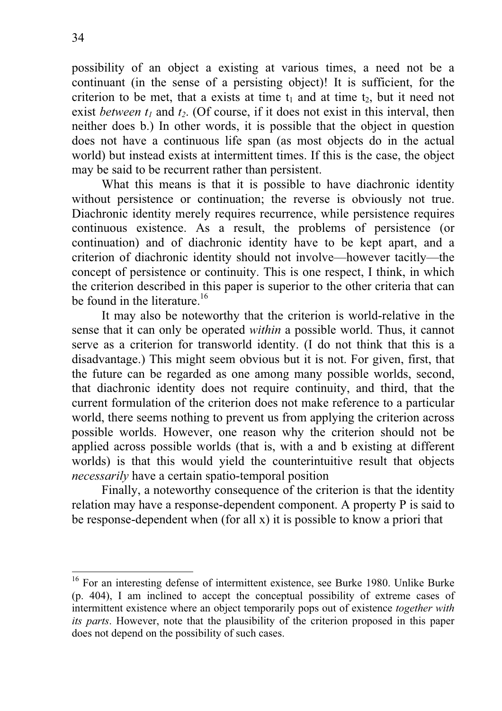possibility of an object a existing at various times, a need not be a continuant (in the sense of a persisting object)! It is sufficient, for the criterion to be met, that a exists at time  $t_1$  and at time  $t_2$ , but it need not exist *between*  $t_1$  and  $t_2$ . (Of course, if it does not exist in this interval, then neither does b.) In other words, it is possible that the object in question does not have a continuous life span (as most objects do in the actual world) but instead exists at intermittent times. If this is the case, the object may be said to be recurrent rather than persistent.

What this means is that it is possible to have diachronic identity without persistence or continuation; the reverse is obviously not true. Diachronic identity merely requires recurrence, while persistence requires continuous existence. As a result, the problems of persistence (or continuation) and of diachronic identity have to be kept apart, and a criterion of diachronic identity should not involve—however tacitly—the concept of persistence or continuity. This is one respect, I think, in which the criterion described in this paper is superior to the other criteria that can be found in the literature.<sup>16</sup>

 It may also be noteworthy that the criterion is world-relative in the sense that it can only be operated *within* a possible world. Thus, it cannot serve as a criterion for transworld identity. (I do not think that this is a disadvantage.) This might seem obvious but it is not. For given, first, that the future can be regarded as one among many possible worlds, second, that diachronic identity does not require continuity, and third, that the current formulation of the criterion does not make reference to a particular world, there seems nothing to prevent us from applying the criterion across possible worlds. However, one reason why the criterion should not be applied across possible worlds (that is, with a and b existing at different worlds) is that this would yield the counterintuitive result that objects *necessarily* have a certain spatio-temporal position

 Finally, a noteworthy consequence of the criterion is that the identity relation may have a response-dependent component. A property P is said to be response-dependent when (for all x) it is possible to know a priori that

<sup>&</sup>lt;sup>16</sup> For an interesting defense of intermittent existence, see Burke 1980. Unlike Burke (p. 404), I am inclined to accept the conceptual possibility of extreme cases of intermittent existence where an object temporarily pops out of existence *together with its parts*. However, note that the plausibility of the criterion proposed in this paper does not depend on the possibility of such cases.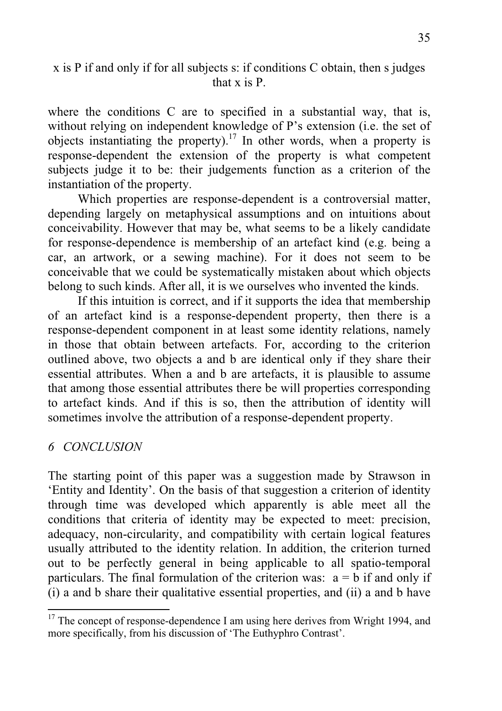## x is P if and only if for all subjects s: if conditions C obtain, then s judges that x is P.

where the conditions C are to specified in a substantial way, that is, without relying on independent knowledge of P's extension (i.e. the set of objects instantiating the property).<sup>17</sup> In other words, when a property is response-dependent the extension of the property is what competent subjects judge it to be: their judgements function as a criterion of the instantiation of the property.

 Which properties are response-dependent is a controversial matter, depending largely on metaphysical assumptions and on intuitions about conceivability. However that may be, what seems to be a likely candidate for response-dependence is membership of an artefact kind (e.g. being a car, an artwork, or a sewing machine). For it does not seem to be conceivable that we could be systematically mistaken about which objects belong to such kinds. After all, it is we ourselves who invented the kinds.

 If this intuition is correct, and if it supports the idea that membership of an artefact kind is a response-dependent property, then there is a response-dependent component in at least some identity relations, namely in those that obtain between artefacts. For, according to the criterion outlined above, two objects a and b are identical only if they share their essential attributes. When a and b are artefacts, it is plausible to assume that among those essential attributes there be will properties corresponding to artefact kinds. And if this is so, then the attribution of identity will sometimes involve the attribution of a response-dependent property.

## *6 CONCLUSION*

The starting point of this paper was a suggestion made by Strawson in 'Entity and Identity'. On the basis of that suggestion a criterion of identity through time was developed which apparently is able meet all the conditions that criteria of identity may be expected to meet: precision, adequacy, non-circularity, and compatibility with certain logical features usually attributed to the identity relation. In addition, the criterion turned out to be perfectly general in being applicable to all spatio-temporal particulars. The final formulation of the criterion was:  $a = b$  if and only if (i) a and b share their qualitative essential properties, and (ii) a and b have

 $17$  The concept of response-dependence I am using here derives from Wright 1994, and more specifically, from his discussion of 'The Euthyphro Contrast'.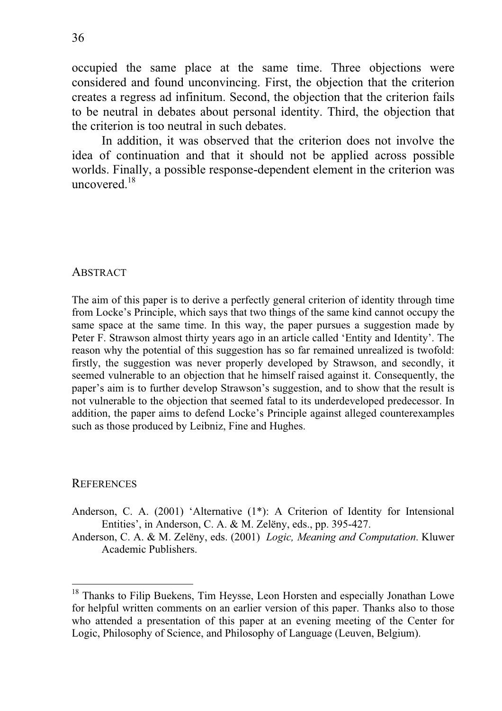occupied the same place at the same time. Three objections were considered and found unconvincing. First, the objection that the criterion creates a regress ad infinitum. Second, the objection that the criterion fails to be neutral in debates about personal identity. Third, the objection that the criterion is too neutral in such debates.

 In addition, it was observed that the criterion does not involve the idea of continuation and that it should not be applied across possible worlds. Finally, a possible response-dependent element in the criterion was uncovered $18$ 

#### ABSTRACT

The aim of this paper is to derive a perfectly general criterion of identity through time from Locke's Principle, which says that two things of the same kind cannot occupy the same space at the same time. In this way, the paper pursues a suggestion made by Peter F. Strawson almost thirty years ago in an article called 'Entity and Identity'. The reason why the potential of this suggestion has so far remained unrealized is twofold: firstly, the suggestion was never properly developed by Strawson, and secondly, it seemed vulnerable to an objection that he himself raised against it. Consequently, the paper's aim is to further develop Strawson's suggestion, and to show that the result is not vulnerable to the objection that seemed fatal to its underdeveloped predecessor. In addition, the paper aims to defend Locke's Principle against alleged counterexamples such as those produced by Leibniz, Fine and Hughes.

#### **REFERENCES**

- Anderson, C. A. (2001) 'Alternative (1\*): A Criterion of Identity for Intensional Entities', in Anderson, C. A. & M. Zelëny, eds., pp. 395-427.
- Anderson, C. A. & M. Zelëny, eds. (2001) *Logic, Meaning and Computation*. Kluwer Academic Publishers.

<sup>&</sup>lt;sup>18</sup> Thanks to Filip Buekens, Tim Heysse, Leon Horsten and especially Jonathan Lowe for helpful written comments on an earlier version of this paper. Thanks also to those who attended a presentation of this paper at an evening meeting of the Center for Logic, Philosophy of Science, and Philosophy of Language (Leuven, Belgium).